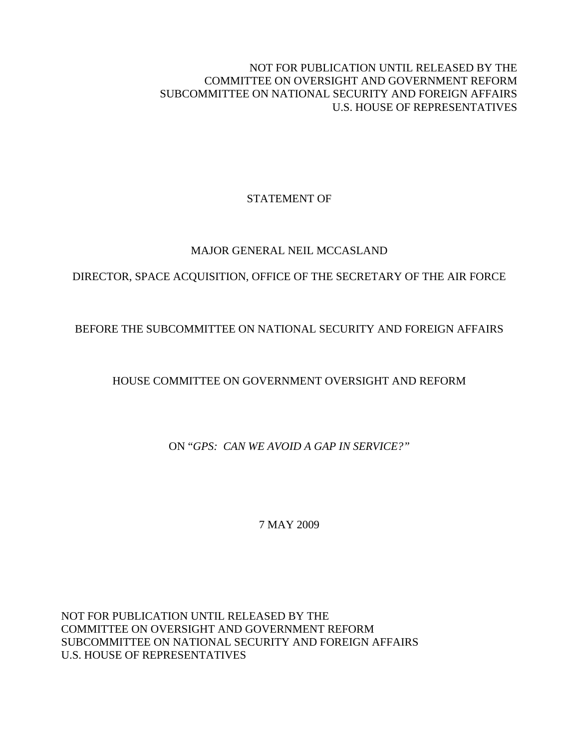NOT FOR PUBLICATION UNTIL RELEASED BY THE COMMITTEE ON OVERSIGHT AND GOVERNMENT REFORM SUBCOMMITTEE ON NATIONAL SECURITY AND FOREIGN AFFAIRS U.S. HOUSE OF REPRESENTATIVES

# STATEMENT OF

### MAJOR GENERAL NEIL MCCASLAND

# DIRECTOR, SPACE ACQUISITION, OFFICE OF THE SECRETARY OF THE AIR FORCE

# BEFORE THE SUBCOMMITTEE ON NATIONAL SECURITY AND FOREIGN AFFAIRS

# HOUSE COMMITTEE ON GOVERNMENT OVERSIGHT AND REFORM

ON "*GPS: CAN WE AVOID A GAP IN SERVICE?"* 

7 MAY 2009

NOT FOR PUBLICATION UNTIL RELEASED BY THE COMMITTEE ON OVERSIGHT AND GOVERNMENT REFORM SUBCOMMITTEE ON NATIONAL SECURITY AND FOREIGN AFFAIRS U.S. HOUSE OF REPRESENTATIVES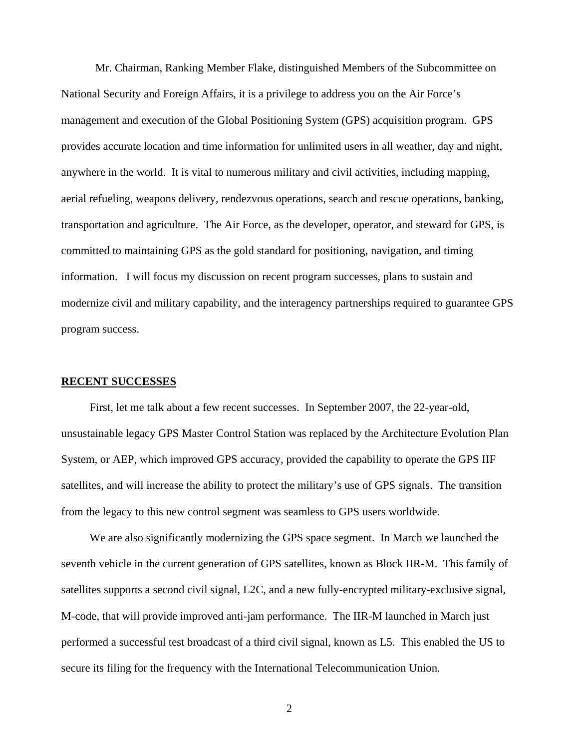Mr. Chairman, Ranking Member Flake, distinguished Members of the Subcommittee on National Security and Foreign Affairs, it is a privilege to address you on the Air Force's management and execution of the Global Positioning System (GPS) acquisition program. GPS provides accurate location and time information for unlimited users in all weather, day and night, anywhere in the world. It is vital to numerous military and civil activities, including mapping, aerial refueling, weapons delivery, rendezvous operations, search and rescue operations, banking, transportation and agriculture. The Air Force, as the developer, operator, and steward for GPS, is committed to maintaining GPS as the gold standard for positioning, navigation, and timing information. I will focus my discussion on recent program successes, plans to sustain and modernize civil and military capability, and the interagency partnerships required to guarantee GPS program success.

#### **RECENT SUCCESSES**

 First, let me talk about a few recent successes. In September 2007, the 22-year-old, unsustainable legacy GPS Master Control Station was replaced by the Architecture Evolution Plan System, or AEP, which improved GPS accuracy, provided the capability to operate the GPS IIF satellites, and will increase the ability to protect the military's use of GPS signals. The transition from the legacy to this new control segment was seamless to GPS users worldwide.

 We are also significantly modernizing the GPS space segment. In March we launched the seventh vehicle in the current generation of GPS satellites, known as Block IIR-M. This family of satellites supports a second civil signal, L2C, and a new fully-encrypted military-exclusive signal, M-code, that will provide improved anti-jam performance. The IIR-M launched in March just performed a successful test broadcast of a third civil signal, known as L5. This enabled the US to secure its filing for the frequency with the International Telecommunication Union.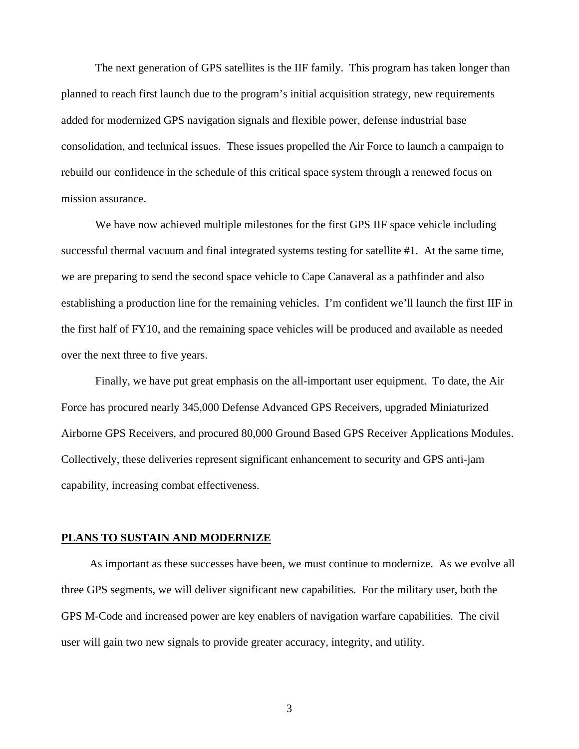The next generation of GPS satellites is the IIF family. This program has taken longer than planned to reach first launch due to the program's initial acquisition strategy, new requirements added for modernized GPS navigation signals and flexible power, defense industrial base consolidation, and technical issues. These issues propelled the Air Force to launch a campaign to rebuild our confidence in the schedule of this critical space system through a renewed focus on mission assurance.

We have now achieved multiple milestones for the first GPS IIF space vehicle including successful thermal vacuum and final integrated systems testing for satellite #1. At the same time, we are preparing to send the second space vehicle to Cape Canaveral as a pathfinder and also establishing a production line for the remaining vehicles. I'm confident we'll launch the first IIF in the first half of FY10, and the remaining space vehicles will be produced and available as needed over the next three to five years.

Finally, we have put great emphasis on the all-important user equipment. To date, the Air Force has procured nearly 345,000 Defense Advanced GPS Receivers*,* upgraded Miniaturized Airborne GPS Receivers, and procured 80,000 Ground Based GPS Receiver Applications Modules. Collectively, these deliveries represent significant enhancement to security and GPS anti-jam capability, increasing combat effectiveness.

#### **PLANS TO SUSTAIN AND MODERNIZE**

 As important as these successes have been, we must continue to modernize. As we evolve all three GPS segments, we will deliver significant new capabilities. For the military user, both the GPS M-Code and increased power are key enablers of navigation warfare capabilities. The civil user will gain two new signals to provide greater accuracy, integrity, and utility.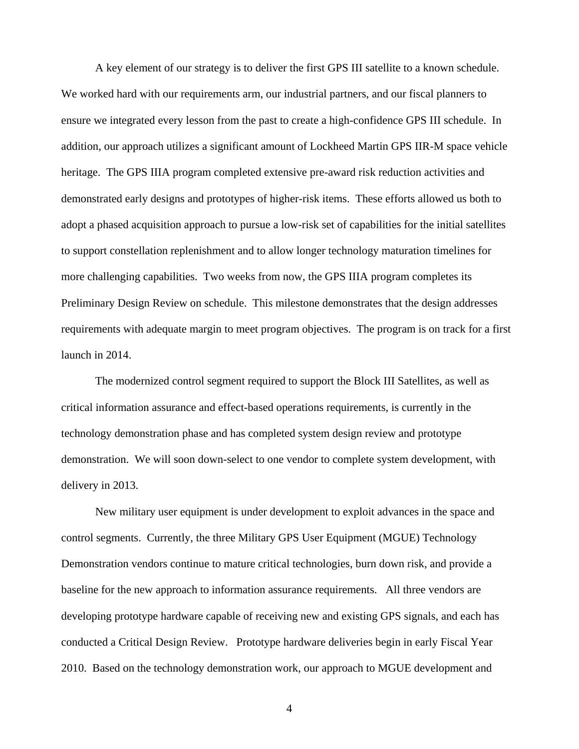A key element of our strategy is to deliver the first GPS III satellite to a known schedule. We worked hard with our requirements arm, our industrial partners, and our fiscal planners to ensure we integrated every lesson from the past to create a high-confidence GPS III schedule. In addition, our approach utilizes a significant amount of Lockheed Martin GPS IIR-M space vehicle heritage. The GPS IIIA program completed extensive pre-award risk reduction activities and demonstrated early designs and prototypes of higher-risk items. These efforts allowed us both to adopt a phased acquisition approach to pursue a low-risk set of capabilities for the initial satellites to support constellation replenishment and to allow longer technology maturation timelines for more challenging capabilities. Two weeks from now, the GPS IIIA program completes its Preliminary Design Review on schedule. This milestone demonstrates that the design addresses requirements with adequate margin to meet program objectives. The program is on track for a first launch in 2014.

The modernized control segment required to support the Block III Satellites, as well as critical information assurance and effect-based operations requirements, is currently in the technology demonstration phase and has completed system design review and prototype demonstration. We will soon down-select to one vendor to complete system development, with delivery in 2013.

New military user equipment is under development to exploit advances in the space and control segments. Currently, the three Military GPS User Equipment (MGUE) Technology Demonstration vendors continue to mature critical technologies, burn down risk, and provide a baseline for the new approach to information assurance requirements. All three vendors are developing prototype hardware capable of receiving new and existing GPS signals, and each has conducted a Critical Design Review. Prototype hardware deliveries begin in early Fiscal Year 2010. Based on the technology demonstration work, our approach to MGUE development and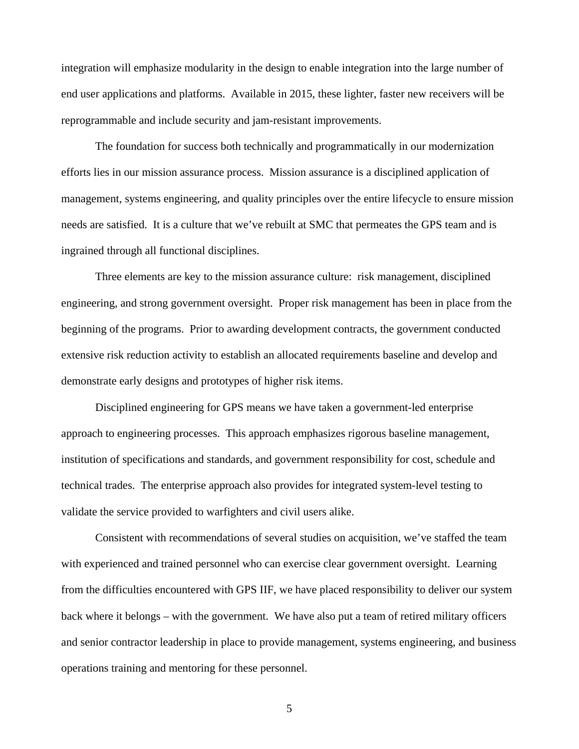integration will emphasize modularity in the design to enable integration into the large number of end user applications and platforms. Available in 2015, these lighter, faster new receivers will be reprogrammable and include security and jam-resistant improvements.

 The foundation for success both technically and programmatically in our modernization efforts lies in our mission assurance process. Mission assurance is a disciplined application of management, systems engineering, and quality principles over the entire lifecycle to ensure mission needs are satisfied. It is a culture that we've rebuilt at SMC that permeates the GPS team and is ingrained through all functional disciplines.

 Three elements are key to the mission assurance culture: risk management, disciplined engineering, and strong government oversight. Proper risk management has been in place from the beginning of the programs. Prior to awarding development contracts, the government conducted extensive risk reduction activity to establish an allocated requirements baseline and develop and demonstrate early designs and prototypes of higher risk items.

 Disciplined engineering for GPS means we have taken a government-led enterprise approach to engineering processes. This approach emphasizes rigorous baseline management, institution of specifications and standards, and government responsibility for cost, schedule and technical trades. The enterprise approach also provides for integrated system-level testing to validate the service provided to warfighters and civil users alike.

 Consistent with recommendations of several studies on acquisition, we've staffed the team with experienced and trained personnel who can exercise clear government oversight. Learning from the difficulties encountered with GPS IIF, we have placed responsibility to deliver our system back where it belongs – with the government. We have also put a team of retired military officers and senior contractor leadership in place to provide management, systems engineering, and business operations training and mentoring for these personnel.